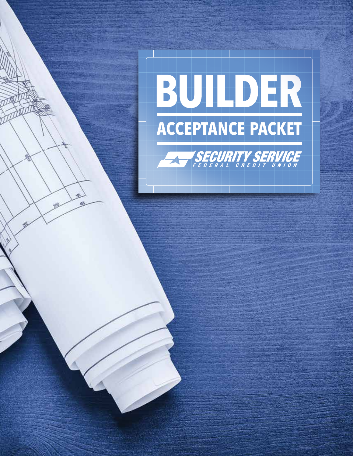# BUILDER **ACCEPTANCE PACKET**



**RO** 嫣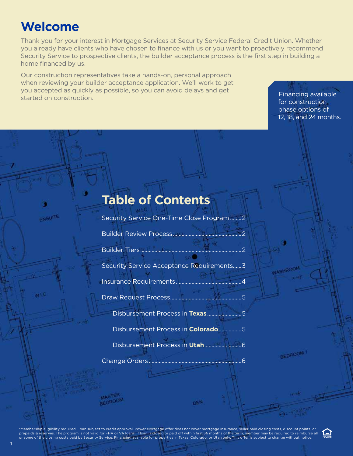# **Welcome**

ENSUITE

 $0.15$ 

1

Thank you for your interest in Mortgage Services at Security Service Federal Credit Union. Whether you already have clients who have chosen to finance with us or you want to proactively recommend Security Service to prospective clients, the builder acceptance process is the first step in building a home financed by us.

Our construction representatives take a hands-on, personal approach when reviewing your builder acceptance application. We'll work to get you accepted as quickly as possible, so you can avoid delays and get Financing available<br>started on construction.

for construction phase options of 12, 18, and 24 months.

## **Table of Contents**

Security Service One-Time Close Program........2

Builder Review Process................................................2

Builder Tiers.......................................................................2

Security Service Acceptance Requirements......3

Insurance Requirements..............................................4

Draw Request Process..................................................5

Disbursement Process in **Texas**........................5

Disbursement Process in **Colorado**................5

Disbursement Process in **Utah**..........................6

**DEN** 

Change Orders.................................................................6

BEDROOM

ัั⊟า

**JASHROON** 

\*Membership eligibility required. Loan subject to credit approval. Power Mortgage offer does not cover mortgage insurance, seller paid closing costs, discount points, or<br>prepaids & reserves. The program is not valid for FH or some of the closing costs paid by Security Service. Financing available for properties in Texas, Colorado, or Utah only. This offer is subject to change without notice.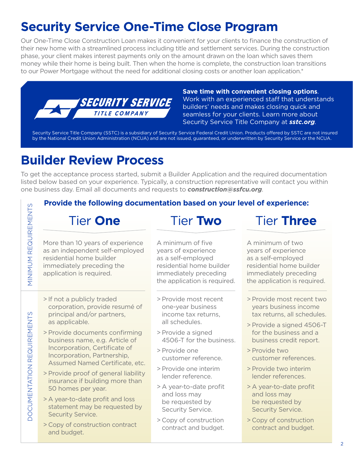# **Security Service One-Time Close Program**

Our One-Time Close Construction Loan makes it convenient for your clients to finance the construction of their new home with a streamlined process including title and settlement services. During the construction phase, your client makes interest payments only on the amount drawn on the loan which saves them money while their home is being built. Then when the home is complete, the construction loan transitions to our Power Mortgage without the need for additional closing costs or another loan application.\*



**Save time with convenient closing options**. Work with an experienced staff that understands builders' needs and makes closing quick and seamless for your clients. Learn more about Security Service Title Company at *sstc.org*.

Security Service Title Company (SSTC) is a subsidiary of Security Service Federal Credit Union. Products offered by SSTC are not insured by the National Credit Union Administration (NCUA) and are not issued, guaranteed, or underwritten by Security Service or the NCUA.

# **Builder Review Process**

To get the acceptance process started, submit a Builder Application and the required documentation listed below based on your experience. Typically, a construction representative will contact you within one business day. Email all documents and requests to *construction@ssfcu.org*.

#### **Provide the following documentation based on your level of experience:**

## Tier **One**

More than 10 years of experience as an independent self-employed residential home builder immediately preceding the application is required.

MINIMUM REQUIREMENTS

**MINIMUM REQUIREMENTS** 

DOCUMENTATION REQUIREMENTS

**DOCUMENTATION REQUIREMENTS** 

- > If not a publicly traded corporation, provide resumé of principal and/or partners, as applicable.
- > Provide documents confirming business name, e.g. Article of Incorporation, Certificate of Incorporation, Partnership, Assumed Named Certificate, etc.
- > Provide proof of general liability insurance if building more than 50 homes per year.
- > A year-to-date profit and loss statement may be requested by Security Service.
- > Copy of construction contract and budget.

A minimum of five years of experience as a self-employed residential home builder immediately preceding the application is required.

Tier **Two**

- > Provide most recent one-year business income tax returns, all schedules.
- > Provide a signed 4506-T for the business.
- > Provide one customer reference.
- > Provide one interim lender reference.
- > A year-to-date profit and loss may be requested by Security Service.
- > Copy of construction contract and budget.

## Tier **Three**

A minimum of two years of experience as a self-employed residential home builder immediately preceding the application is required.

- > Provide most recent two years business income tax returns, all schedules.
- > Provide a signed 4506-T for the business and a business credit report.
- > Provide two customer references.
- > Provide two interim lender references.
- > A year-to-date profit and loss may be requested by Security Service.
- > Copy of construction contract and budget.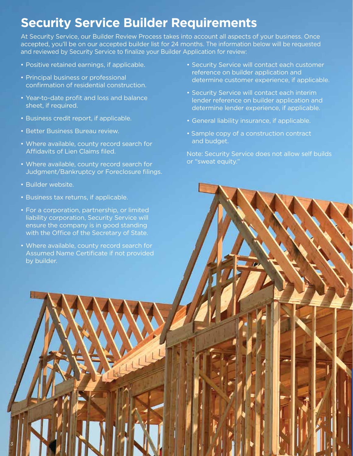# **Security Service Builder Requirements**

At Security Service, our Builder Review Process takes into account all aspects of your business. Once accepted, you'll be on our accepted builder list for 24 months. The information below will be requested and reviewed by Security Service to finalize your Builder Application for review:

- Positive retained earnings, if applicable.
- Principal business or professional confirmation of residential construction.
- Year-to-date profit and loss and balance sheet, if required.
- Business credit report, if applicable.
- Better Business Bureau review.
- Where available, county record search for Affidavits of Lien Claims filed.
- Where available, county record search for Judgment/Bankruptcy or Foreclosure filings.
- Builder website.

3

- Business tax returns, if applicable.
- For a corporation, partnership, or limited liability corporation, Security Service will ensure the company is in good standing with the Office of the Secretary of State.
- Where available, county record search for Assumed Name Certificate if not provided by builder.
- Security Service will contact each customer reference on builder application and determine customer experience, if applicable.
- Security Service will contact each interim lender reference on builder application and determine lender experience, if applicable.
- General liability insurance, if applicable.
- Sample copy of a construction contract and budget.

Note: Security Service does not allow self builds or "sweat equity."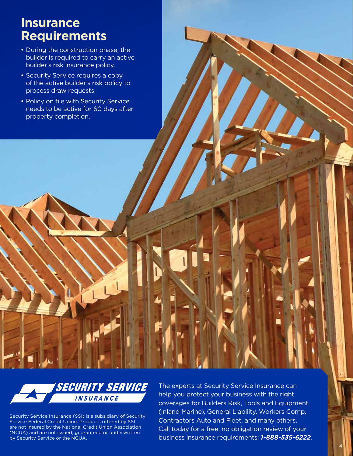### **Insurance Requirements**

- During the construction phase, the builder is required to carry an active builder's risk insurance policy.
- Security Service requires a copy of the active builder's risk policy to process draw requests.
- Policy on file with Security Service needs to be active for 60 days after property completion.



Security Service Insurance (SSI) is a subsidiary of Security Service Federal Credit Union. Products offered by SSI are not insured by the National Credit Union Association (NCUA) and are not issued, guaranteed or underwritten by Security Service or the NCUA.

The experts at Security Service Insurance can help you protect your business with the right coverages for Builders Risk, Tools and Equipment (Inland Marine), General Liability, Workers Comp, Contractors Auto and Fleet, and many others. Call today for a free, no obligation review of your business insurance requirements: *1-888-535-6222*.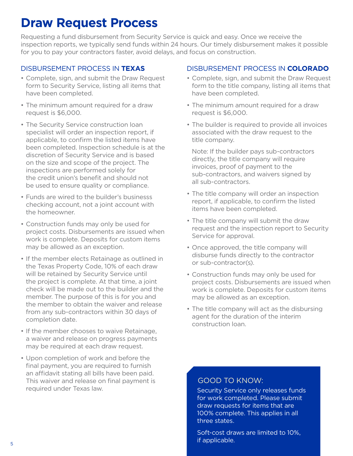## **Draw Request Process**

Requesting a fund disbursement from Security Service is quick and easy. Once we receive the inspection reports, we typically send funds within 24 hours. Our timely disbursement makes it possible for you to pay your contractors faster, avoid delays, and focus on construction.

#### DISBURSEMENT PROCESS IN **TEXAS**

- Complete, sign, and submit the Draw Request form to Security Service, listing all items that have been completed.
- The minimum amount required for a draw request is \$6,000.
- The Security Service construction loan specialist will order an inspection report, if applicable, to confirm the listed items have been completed. Inspection schedule is at the discretion of Security Service and is based on the size and scope of the project. The inspections are performed solely for the credit union's benefit and should not be used to ensure quality or compliance.
- Funds are wired to the builder's businesss checking account, not a joint account with the homeowner.
- Construction funds may only be used for project costs. Disbursements are issued when work is complete. Deposits for custom items may be allowed as an exception.
- If the member elects Retainage as outlined in the Texas Property Code, 10% of each draw will be retained by Security Service until the project is complete. At that time, a joint check will be made out to the builder and the member. The purpose of this is for you and the member to obtain the waiver and release from any sub-contractors within 30 days of completion date.
- If the member chooses to waive Retainage, a waiver and release on progress payments may be required at each draw request.
- Upon completion of work and before the final payment, you are required to furnish an affidavit stating all bills have been paid. This waiver and release on final payment is required under Texas law.

#### DISBURSEMENT PROCESS IN **COLORADO**

- Complete, sign, and submit the Draw Request form to the title company, listing all items that have been completed.
- The minimum amount required for a draw request is \$6,000.
- The builder is required to provide all invoices associated with the draw request to the title company.

Note: If the builder pays sub-contractors directly, the title company will require invoices, proof of payment to the sub-contractors, and waivers signed by all sub-contractors.

- The title company will order an inspection report, if applicable, to confirm the listed items have been completed.
- The title company will submit the draw request and the inspection report to Security Service for approval.
- Once approved, the title company will disburse funds directly to the contractor or sub-contractor(s).
- Construction funds may only be used for project costs. Disbursements are issued when work is complete. Deposits for custom items may be allowed as an exception.
- The title company will act as the disbursing agent for the duration of the interim construction loan.

#### GOOD TO KNOW:

Security Service only releases funds for work completed. Please submit draw requests for items that are 100% complete. This applies in all three states.

Soft-cost draws are limited to 10%, if applicable.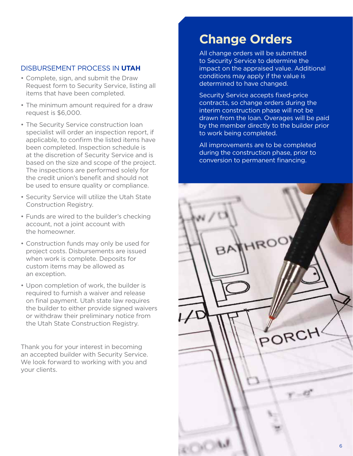#### DISBURSEMENT PROCESS IN **UTAH**

- Complete, sign, and submit the Draw Request form to Security Service, listing all items that have been completed.
- The minimum amount required for a draw request is \$6,000.
- The Security Service construction loan specialist will order an inspection report, if applicable, to confirm the listed items have been completed. Inspection schedule is at the discretion of Security Service and is based on the size and scope of the project. The inspections are performed solely for the credit union's benefit and should not be used to ensure quality or compliance.
- Security Service will utilize the Utah State Construction Registry.
- Funds are wired to the builder's checking account, not a joint account with the homeowner.
- Construction funds may only be used for project costs. Disbursements are issued when work is complete. Deposits for custom items may be allowed as an exception.
- Upon completion of work, the builder is required to furnish a waiver and release on final payment. Utah state law requires the builder to either provide signed waivers or withdraw their preliminary notice from the Utah State Construction Registry.

Thank you for your interest in becoming an accepted builder with Security Service. We look forward to working with you and your clients.

## **Change Orders**

All change orders will be submitted to Security Service to determine the impact on the appraised value. Additional conditions may apply if the value is determined to have changed.

Security Service accepts fixed-price contracts, so change orders during the interim construction phase will not be drawn from the loan. Overages will be paid by the member directly to the builder prior to work being completed.

All improvements are to be completed during the construction phase, prior to conversion to permanent financing.